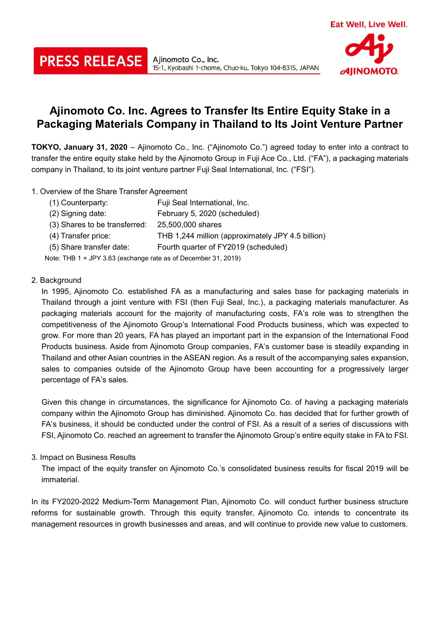# **Ajinomoto Co. Inc. Agrees to Transfer Its Entire Equity Stake in a Packaging Materials Company in Thailand to Its Joint Venture Partner**

15-1, Kyobashi 1-chome, Chuo-ku, Tokyo 104-8315, JAPAN

**TOKYO, January 31, 2020** – Ajinomoto Co., Inc. ("Ajinomoto Co.") agreed today to enter into a contract to transfer the entire equity stake held by the Ajinomoto Group in Fuji Ace Co., Ltd. ("FA"), a packaging materials company in Thailand, to its joint venture partner Fuji Seal International, Inc. ("FSI").

1. Overview of the Share Transfer Agreement

**PRESS RELEASE** 

| (1) Counterparty:                                              | Fuji Seal International, Inc.                     |  |
|----------------------------------------------------------------|---------------------------------------------------|--|
| (2) Signing date:                                              | February 5, 2020 (scheduled)                      |  |
| (3) Shares to be transferred:                                  | 25,500,000 shares                                 |  |
| (4) Transfer price:                                            | THB 1,244 million (approximately JPY 4.5 billion) |  |
| (5) Share transfer date:                                       | Fourth quarter of FY2019 (scheduled)              |  |
| Note: THB 1 = JPY 3.63 (exchange rate as of December 31, 2019) |                                                   |  |

Ajinomoto Co., Inc.

# 2. Background

In 1995, Ajinomoto Co. established FA as a manufacturing and sales base for packaging materials in Thailand through a joint venture with FSI (then Fuji Seal, Inc.), a packaging materials manufacturer. As packaging materials account for the majority of manufacturing costs, FA's role was to strengthen the competitiveness of the Ajinomoto Group's International Food Products business, which was expected to grow. For more than 20 years, FA has played an important part in the expansion of the International Food Products business. Aside from Ajinomoto Group companies, FA's customer base is steadily expanding in Thailand and other Asian countries in the ASEAN region. As a result of the accompanying sales expansion, sales to companies outside of the Ajinomoto Group have been accounting for a progressively larger percentage of FA's sales.

Given this change in circumstances, the significance for Ajinomoto Co. of having a packaging materials company within the Ajinomoto Group has diminished. Ajinomoto Co. has decided that for further growth of FA's business, it should be conducted under the control of FSI. As a result of a series of discussions with FSI, Ajinomoto Co. reached an agreement to transfer the Ajinomoto Group's entire equity stake in FA to FSI.

# 3. Impact on Business Results

The impact of the equity transfer on Ajinomoto Co.'s consolidated business results for fiscal 2019 will be immaterial.

In its FY2020-2022 Medium-Term Management Plan, Ajinomoto Co. will conduct further business structure reforms for sustainable growth. Through this equity transfer, Ajinomoto Co. intends to concentrate its management resources in growth businesses and areas, and will continue to provide new value to customers.